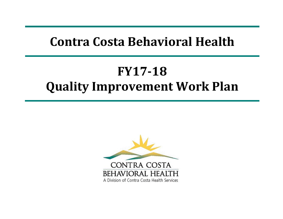# **Contra Costa Behavioral Health**

# **FY17‐18Quality Improvement Work Plan**

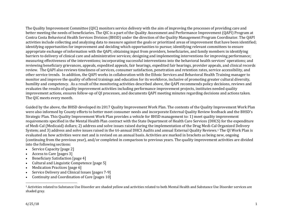The Quality Improvement Committee (QIC) monitors service delivery with the aim of improving the processes of providing care and better meeting the needs of beneficiaries. The OIC is a part of the Quality Assessment and Performance Improvement (OAPI) Program at Contra Costa Behavioral Health Services Division (BHSD) under the direction of the Quality Management Program Coordinator. The QAPI activities include collecting and analyzing data to measure against the goals or prioritized areas of improvement that have been identified; identifying opportunities for improvement and deciding which opportunities to pursue; identifying relevant committees to ensure appropriate exchange of information with the OAPI; obtaining input from providers, beneficiaries, and family members in identifying barriers to delivery of clinical care and administrative services; designing and implementing interventions for improving performance; measuring effectiveness of the interventions; incorporating successful interventions into the behavioral health services' operations; and reviewing beneficiary grievances, appeals, expedited appeals, fair hearings, expedited fair hearings, provider appeals, and clinical records review. The QAPI also reviews timeliness of services, consumer satisfaction, penetration and retention rates, service accessibility, and other service trends. In addition, the OAPI works in collaboration with the Ethnic Services and Behavioral Health Training manager to monitor and improve the quality of offered trainings and education for its workforce, inclusive of promoting greater cultural diversity, humility and competency. As a result of the monitoring activities described above, the QAPI recommends policy decisions, reviews and evaluates the results of quality improvement activities including performance improvement projects, institutes needed quality improvement actions, ensures follow-up of QI processes, and documents QAPI meeting minutes regarding decisions and actions taken. The QIC meets every month.

Guided by the above, the BHSD developed its 2017 Quality Improvement Work Plan. The contents of the Quality Improvement Work Plan were also informed by County efforts to better meet consumer needs and incorporate External Quality Review feedback and the BHSD's Strategic Plan. This Quality Improvement Work Plan provides a vehicle for BHSD management to: 1) meet quality improvement requirements specified in the Mental Health Plan contract with the State Department of Health Care Services (DHCS) for the expenditure of Medi-Cal (Medicaid) dollars; 2) address and solve issues raised during the implementation of the Drug Medi-Cal Organized Delivery System; and 3) address and solve issues raised in the tri-annual DHCS Audits and annual External Quality Reviews.<sup>1</sup> The OI Work Plan is evaluated on how activities were met and is revised on an annual basis. Activities are marked in brackets as being new, ongoing (continuing from the previous year), and/or completed in comparison to previous years. The quality improvement activities are divided into the following sections:

- c Service Capacity [page 2]
- c Access to Care [pages 3]
- c Beneficiary Satisfaction [page 4]
- c Cultural and Linguistic Competence [page 5]
- c Medication Practices [page 6]
- c Service Delivery and Clinical Issues [pages 7-9]
- c Continuity and Coordination of Care [pages 10]

<sup>&</sup>lt;sup>1</sup> Activities related to Substance Use Disorder are shaded vellow and activities related to both Mental Health and Substance Use Disorder services are shaded gray.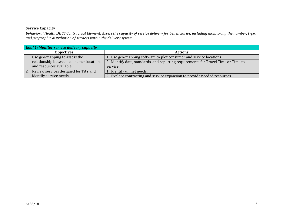#### **Service Capacity**

Behavioral Health DHCS Contractual Element: Assess the capacity of service delivery for beneficiaries, including monitoring the number, type, *and geographic distribution of services within the delivery system.*

|                   | <b>Goal 1: Monitor service delivery capacity</b> |                                                                                    |  |
|-------------------|--------------------------------------------------|------------------------------------------------------------------------------------|--|
| <b>Objectives</b> |                                                  | <b>Actions</b>                                                                     |  |
| $\vert$ 1.        | Use geo-mapping to assess the                    | 1. Use geo-mapping software to plot consumer and service locations.                |  |
|                   | relationship between consumer locations          | 2. Identify data, standards, and reporting requirements for Travel Time or Time to |  |
|                   | and resources available.                         | Service.                                                                           |  |
| 2.                | Review services designed for TAY and             | 1. Identify unmet needs.                                                           |  |
|                   | identify service needs.                          | 2. Explore contracting and service expansion to provide needed resources.          |  |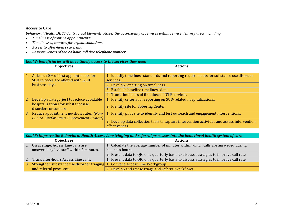#### **Access to Care**

Behavioral Health DHCS Contractual Elements: Assess the accessibility of services within service delivery area, including:

- $\bullet$ *Timeliness of routine appointments;*
- $\bullet$ *Timeliness of services for urgen<sup>t</sup> conditions;*
- $\bullet$ *Access to after‐hours care; and*
- *Responsiveness of the 24 hour, toll free telephone number.*

|    | Goal 2: Beneficiaries will have timely access to the services they need |                                                                                             |  |
|----|-------------------------------------------------------------------------|---------------------------------------------------------------------------------------------|--|
|    | <b>Objectives</b>                                                       | <b>Actions</b>                                                                              |  |
|    |                                                                         |                                                                                             |  |
| 1. | At least 90% of first appointments for                                  | 1. Identify timeliness standards and reporting requirements for substance use disorder      |  |
|    | SUD services are offered within 10                                      | services.                                                                                   |  |
|    | business days.                                                          | 2. Develop reporting on timeliness.                                                         |  |
|    |                                                                         | 3. Establish baseline timeliness data.                                                      |  |
|    |                                                                         | 4. Track timeliness of first dose of NTP services.                                          |  |
| 2. | Develop strategy (ies) to reduce avoidable                              | 1. Identify criteria for reporting on SUD-related hospitalizations.                         |  |
|    | hospitalizations for substance use                                      | 2. Identify site for Sobering Center.                                                       |  |
|    | disorder consumers.                                                     |                                                                                             |  |
| 3. | Reduce appointment no-show rates. (Non-                                 | 1. Identify pilot site to identify and test outreach and engagement interventions.          |  |
|    | Clinical Performance Improvement Project)                               |                                                                                             |  |
|    |                                                                         | 2. Develop data collection tools to capture intervention activities and assess intervention |  |
|    |                                                                         | effectiveness.                                                                              |  |

|            | Goal 3: Improve the Behavioral Health Access Line triaging and referral processes into the behavioral health system of care |                                                                                         |  |
|------------|-----------------------------------------------------------------------------------------------------------------------------|-----------------------------------------------------------------------------------------|--|
|            | <b>Objectives</b>                                                                                                           | <b>Actions</b>                                                                          |  |
| $\vert$ 1. | On average, Access Line calls are                                                                                           | 1. Calculate the average number of minutes within which calls are answered during       |  |
|            | answered by live staff within 2 minutes.                                                                                    | business hours.                                                                         |  |
|            |                                                                                                                             | 2. Present data to QIC on a quarterly basis to discuss strategies to improve call rate. |  |
|            | 2. Track after-hours Access Line calls.                                                                                     | 1. Present data to QIC on a quarterly basis to discuss strategies to improve call rate. |  |
| 3.         | Strengthen substance use disorder triaging 1. Convene Access Line Workgroup.                                                |                                                                                         |  |
|            | and referral processes.                                                                                                     | 2. Develop and revise triage and referral workflows.                                    |  |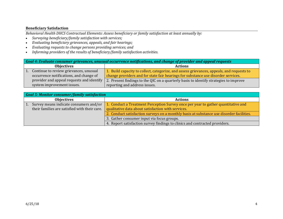## **Beneficiary Satisfaction**

*Behavioral Health DHCS Contractual Elements: Assess beneficiary or family satisfaction at least annually by:*

- $\bullet$ *Surveying beneficiary/family satisfaction with services;*
- $\bullet$ *Evaluating beneficiary grievances, appeals, and fair hearings;*
- $\bullet$ *Evaluating requests to change persons providing services; and*
- $\bullet$ *Informing providers of the results of beneficiary/family satisfaction activities.*

|                   | Goal 4: Evaluate consumer grievances, unusual occurrence notifications, and change of provider and appeal requests |                                                                                           |  |
|-------------------|--------------------------------------------------------------------------------------------------------------------|-------------------------------------------------------------------------------------------|--|
| <b>Objectives</b> |                                                                                                                    | <b>Actions</b>                                                                            |  |
|                   | Continue to review grievances, unusual                                                                             | 1. Build capacity to collect, categorize, and assess grievances, appeals, and requests to |  |
|                   | occurrence notifications, and change of                                                                            | change providers and for state fair hearings for substance use disorder services.         |  |
|                   | provider and appeal requests and identify                                                                          | 2. Present findings to the QIC on a quarterly basis to identify strategies to improve     |  |
|                   | system improvement issues.                                                                                         | reporting and address issues.                                                             |  |

|                  | <b>Goal 5: Monitor consumer/family satisfaction</b> |                                                                                          |  |
|------------------|-----------------------------------------------------|------------------------------------------------------------------------------------------|--|
|                  | <b>Objectives</b>                                   | <b>Actions</b>                                                                           |  |
| $\vert 1. \vert$ | Survey means indicate consumers and/or              | 1. Conduct a Treatment Perception Survey once per year to gather quantitative and        |  |
|                  | their families are satisfied with their care.       | qualitative data about satisfaction with services.                                       |  |
|                  |                                                     | 2. Conduct satisfaction surveys on a monthly basis at substance use disorder facilities. |  |
|                  |                                                     | 3. Gather consumer input via focus groups.                                               |  |
|                  |                                                     | 4. Report satisfaction survey findings to clinics and contracted providers.              |  |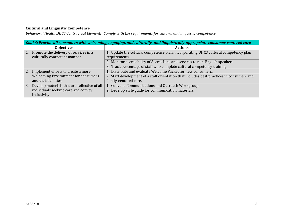## **Cultural and Linguistic Competence**

*Behavioral Health DHCS Contractual Elements: Comply with the requirements for cultural and linguistic competence.*

| Goal 6: Provide all consumers with welcoming, engaging, and culturally- and linguistically-appropriate consumer-centered care |  |                                                                                           |
|-------------------------------------------------------------------------------------------------------------------------------|--|-------------------------------------------------------------------------------------------|
| <b>Objectives</b>                                                                                                             |  | <b>Actions</b>                                                                            |
| Promote the delivery of services in a<br>1.                                                                                   |  | 1. Update the cultural competence plan, incorporating DHCS cultural competency plan       |
| culturally competent manner.                                                                                                  |  | requirements.                                                                             |
|                                                                                                                               |  | 2. Monitor accessibility of Access Line and services to non-English speakers.             |
|                                                                                                                               |  | 3. Track percentage of staff who complete cultural competency training.                   |
| 2.<br>Implement efforts to create a more                                                                                      |  | 1. Distribute and evaluate Welcome Packet for new consumers.                              |
| <b>Welcoming Environment for consumers</b>                                                                                    |  | 2. Start development of a staff orientation that includes best practices in consumer- and |
| and their families.                                                                                                           |  | family-centered care.                                                                     |
| 3.<br>Develop materials that are reflective of all                                                                            |  | 1. Convene Communications and Outreach Workgroup.                                         |
| individuals seeking care and convey                                                                                           |  | 2. Develop style guide for communication materials.                                       |
| inclusivity.                                                                                                                  |  |                                                                                           |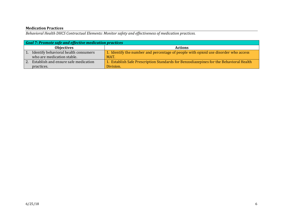#### **Medication Practices**

*Behavioral Health DHCS Contractual Elements: Monitor safety and effectiveness of medication practices.*

|                   | Goal 7: Promote safe and effective medication practices |                                                                                        |  |
|-------------------|---------------------------------------------------------|----------------------------------------------------------------------------------------|--|
| <b>Objectives</b> |                                                         | <b>Actions</b>                                                                         |  |
|                   | Identify behavioral health consumers                    | 1. Identify the number and percentage of people with opioid use disorder who access    |  |
|                   | who are medication stable.                              | MAT.                                                                                   |  |
| $\overline{2}$    | Establish and ensure safe medication                    | 1. Establish Safe Prescription Standards for Benzodiazepines for the Behavioral Health |  |
|                   | practices.                                              | Division.                                                                              |  |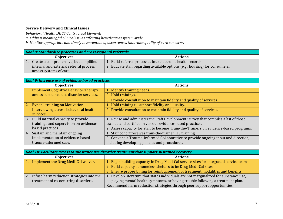#### **Service Delivery and Clinical Issues**

*Behavioral Health DHCS Contractual Elements:*

*a. Address meaningful clinical issues affecting beneficiaries system‐wide.*

*b. Monitor appropriate and timely intervention of occurrences that raise quality of care concerns.*

| <b>Goal 8: Standardize processes and cross-regional referrals</b> |                                        |                                                                             |
|-------------------------------------------------------------------|----------------------------------------|-----------------------------------------------------------------------------|
| <b>Objectives</b>                                                 |                                        | <b>Actions</b>                                                              |
|                                                                   | Create a comprehensive, but simplified | 1. Build referral processes into electronic health records.                 |
|                                                                   | internal and external referral process | 2. Educate staff regarding available options (e.g., housing) for consumers. |
|                                                                   | across systems of care.                |                                                                             |

|    | <b>Goal 9: Increase use of evidence-based practices</b> |                                                                                       |  |
|----|---------------------------------------------------------|---------------------------------------------------------------------------------------|--|
|    | <b>Objectives</b>                                       | <b>Actions</b>                                                                        |  |
|    | <b>Implement Cognitive Behavior Therapy</b>             | 1. Identify training needs.                                                           |  |
|    | across substance use disorder services.                 | 2. Hold trainings.                                                                    |  |
|    |                                                         | 3. Provide consultation to maintain fidelity and quality of services.                 |  |
| 2. | <b>Expand training on Motivation</b>                    | 1. Hold training to support fidelity and quality.                                     |  |
|    | Interviewing across behavioral health                   | 2. Provide consultation to maintain fidelity and quality of services.                 |  |
|    | services.                                               |                                                                                       |  |
| 3. | Build internal capacity to provide                      | 1. Revise and administer the Staff Development Survey that compiles a list of those   |  |
|    | trainings and supervision on evidence-                  | trained and certified in various evidence-based practices.                            |  |
|    | based practices.                                        | 2. Assess capacity for staff to become Train-the-Trainers on evidence-based programs. |  |
| 4. | Sustain and maintain ongoing                            | 1. Staff cohort receives train-the-trainer TIS training.                              |  |
|    | implementation of evidence-based                        | 2. Convene a Trauma-Informed Collaborative to provide ongoing input and direction,    |  |
|    | trauma-informed care.                                   | including developing policies and procedures.                                         |  |

|         | Goal 10: Facilitate access to substance use disorder treatment that support sustained recovery |                                                                                         |  |
|---------|------------------------------------------------------------------------------------------------|-----------------------------------------------------------------------------------------|--|
|         | <b>Objectives</b>                                                                              | <b>Actions</b>                                                                          |  |
| $1_{-}$ | Implement the Drug Medi-Cal waiver.                                                            | 1. Begin building capacity in Drug Medi-Cal service sites for integrated service teams. |  |
|         |                                                                                                | 2. Build capacity at homeless shelters to be Drug Medi-Cal sites.                       |  |
|         |                                                                                                | 3. Ensure proper billing for reimbursement of treatment modalities and benefits.        |  |
| 2.      | Infuse harm reduction strategies into the                                                      | 1. Develop literature that states individuals are not marginalized for substance use,   |  |
|         | treatment of co-occurring disorders.                                                           | displaying mental health symptoms, or having trouble following a treatment plan.        |  |
|         |                                                                                                | Recommend harm reduction strategies through peer support opportunities.                 |  |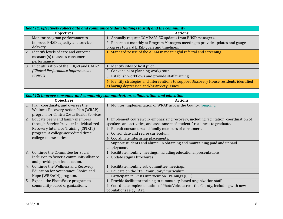| Goal 11: Effectively collect data and communicate data findings to staff and the community |                                                                                          |  |
|--------------------------------------------------------------------------------------------|------------------------------------------------------------------------------------------|--|
| <b>Objectives</b>                                                                          | <b>Actions</b>                                                                           |  |
| $\vert 1. \vert$<br>Monitor program performance to                                         | 1. Annually request COMPASS-EZ updates from BHSD managers.                               |  |
| improve BHSD capacity and service                                                          | 2. Report out monthly at Program Managers meeting to provide updates and gauge           |  |
| delivery.                                                                                  | progress toward BHSD goals and timelines.                                                |  |
| <sup>2.</sup><br>Identify levels of care and outcome                                       | 1. Standardize use of the ASAM in meaningful referral and screening.                     |  |
| measure(s) to assess consumer                                                              |                                                                                          |  |
| performance.                                                                               |                                                                                          |  |
| 3.<br>Pilot utilization of the PHQ-9 and GAD-7.                                            | 1. Identify sites to host pilot.                                                         |  |
| (Clinical Performance Improvement                                                          | 2. Convene pilot planning workgroup.                                                     |  |
| Project)                                                                                   | 3. Establish workflows and provide staff training.                                       |  |
|                                                                                            | 4. Identify strategies and interventions to support Discovery House residents identified |  |
|                                                                                            | as having depression and/or anxiety issues.                                              |  |

| Goal 12: Improve consumer and community communication, collaboration, and education |                                                                                       |  |
|-------------------------------------------------------------------------------------|---------------------------------------------------------------------------------------|--|
| <b>Objectives</b>                                                                   | <b>Actions</b>                                                                        |  |
| Plan, coordinate, and oversee the<br>1.                                             | 1. Monitor implementation of WRAP across the County. [ongoing]                        |  |
| <b>Wellness Recovery Action Plan (WRAP)</b>                                         |                                                                                       |  |
| program for Contra Costa Health Services.                                           |                                                                                       |  |
| 2. Educate peers and family members                                                 | 1. Implement coursework emphasizing recovery, including facilitation, coordination of |  |
| through Service Provider Individualized                                             | speakers and activities, and assessment of students' readiness to graduate.           |  |
| Recovery Intensive Training (SPIRIT)                                                | 2. Recruit consumers and family members of consumers.                                 |  |
| program, a college-accredited three                                                 | 3. Consolidate and revise curriculum.                                                 |  |
| college course series.                                                              | 4. Coordinate internship placements.                                                  |  |
|                                                                                     | 5. Support students and alumni in obtaining and maintaining paid and unpaid           |  |
|                                                                                     | employment.                                                                           |  |
| Continue the Committee for Social<br>3.                                             | 1. Facilitate monthly meetings, including educational presentations.                  |  |
| Inclusion to foster a community alliance                                            | 2. Update stigma brochures.                                                           |  |
| and provide public education.                                                       |                                                                                       |  |
| 4. Continue the Wellness and Recovery                                               | 1. Facilitate monthly sub-committee meetings.                                         |  |
| Education for Acceptance, Choice and                                                | 2. Educate on the "Tell Your Story" curriculum.                                       |  |
| Hope (WREACH) program.                                                              | 3. Participate in Crisis Intervention Trainings (CIT).                                |  |
| 5. Expand the PhotoVoice program to                                                 | 1. Provide facilitator training to community-based organization staff.                |  |
| community-based organizations.                                                      | 2. Coordinate implementation of PhotoVoice across the County, including with new      |  |
|                                                                                     | populations (e.g., TAY).                                                              |  |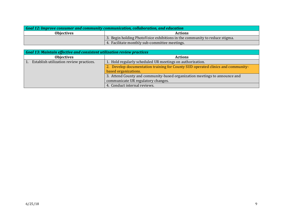| Goal 12: Improve consumer and community communication, collaboration, and education |                                                                            |
|-------------------------------------------------------------------------------------|----------------------------------------------------------------------------|
| <b>Objectives</b>                                                                   | <b>Actions</b>                                                             |
|                                                                                     | 3. Begin holding PhotoVoice exhibitions in the community to reduce stigma. |
|                                                                                     | 4. Facilitate monthly sub-committee meetings.                              |

| <b>Goal 13: Maintain effective and consistent utilization review practices</b> |                                                                                  |  |
|--------------------------------------------------------------------------------|----------------------------------------------------------------------------------|--|
| <b>Objectives</b>                                                              | <b>Actions</b>                                                                   |  |
| Establish utilization review practices.                                        | 1. Hold regularly scheduled UR meetings on authorization.                        |  |
|                                                                                | 2. Develop documentation training for County SUD operated clinics and community- |  |
|                                                                                | based organizations.                                                             |  |
|                                                                                | 3. Attend County and community-based organization meetings to announce and       |  |
|                                                                                | communicate UR regulatory changes.                                               |  |
|                                                                                | 4. Conduct internal reviews.                                                     |  |